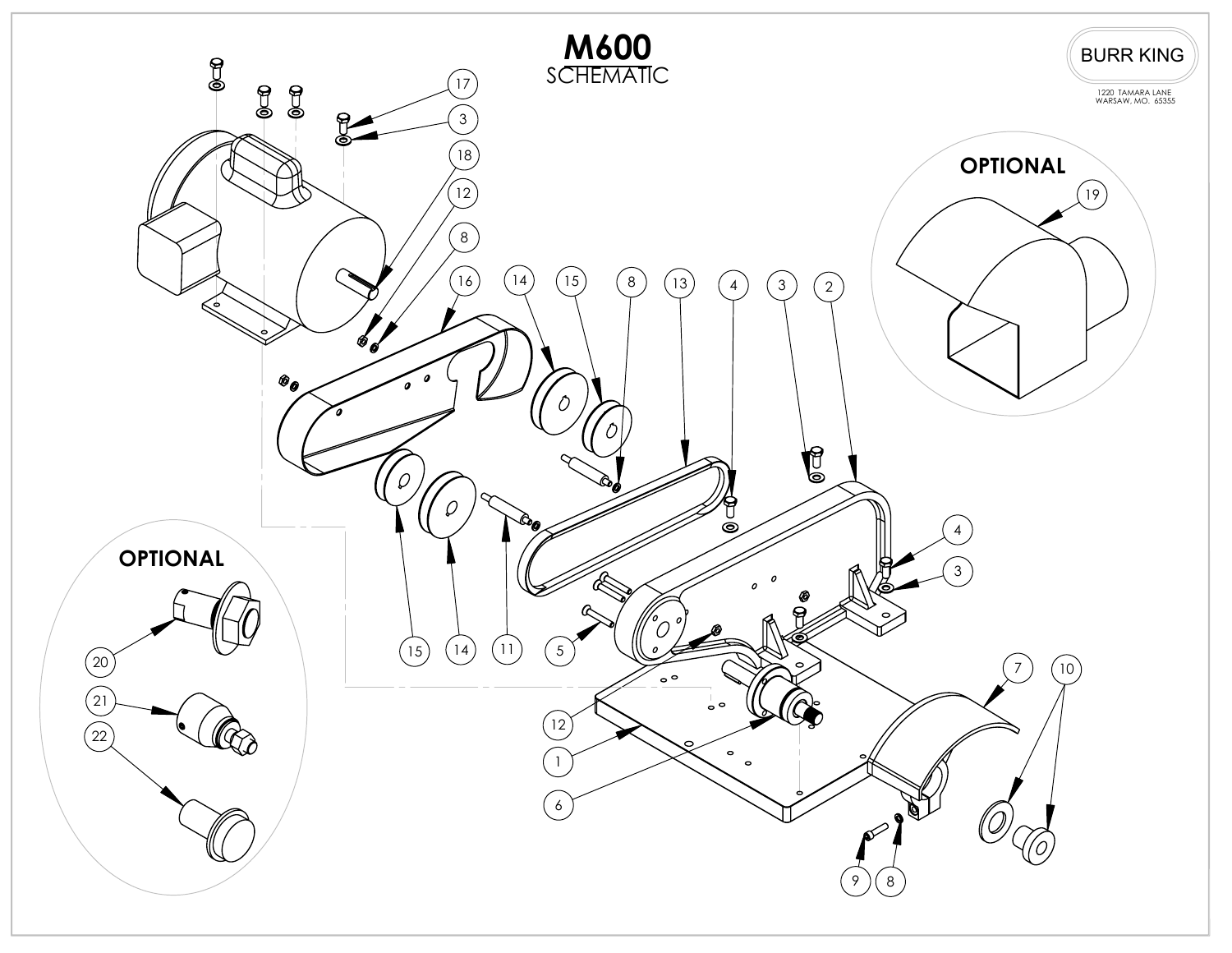